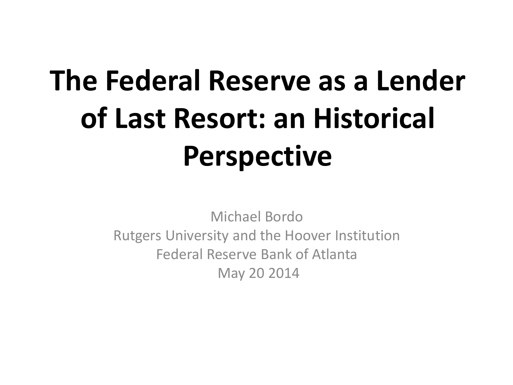# **The Federal Reserve as a Lender of Last Resort: an Historical Perspective**

Michael Bordo Rutgers University and the Hoover Institution Federal Reserve Bank of Atlanta May 20 2014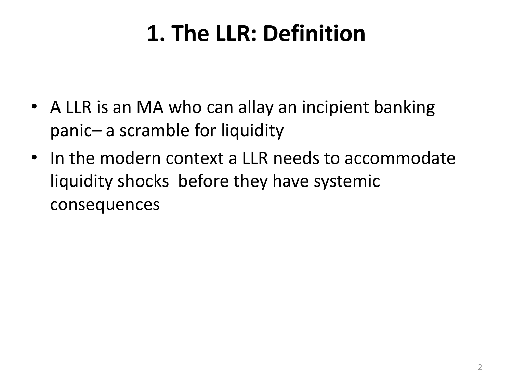### **1. The LLR: Definition**

- A LLR is an MA who can allay an incipient banking panic– a scramble for liquidity
- In the modern context a LLR needs to accommodate liquidity shocks before they have systemic consequences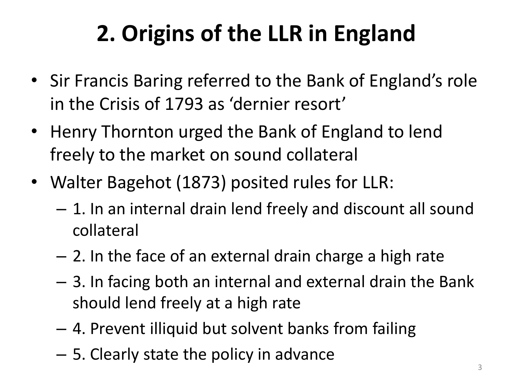- Sir Francis Baring referred to the Bank of England's role in the Crisis of 1793 as 'dernier resort'
- Henry Thornton urged the Bank of England to lend freely to the market on sound collateral
- Walter Bagehot (1873) posited rules for LLR:
	- 1. In an internal drain lend freely and discount all sound collateral
	- 2. In the face of an external drain charge a high rate
	- 3. In facing both an internal and external drain the Bank should lend freely at a high rate
	- 4. Prevent illiquid but solvent banks from failing
	- 5. Clearly state the policy in advance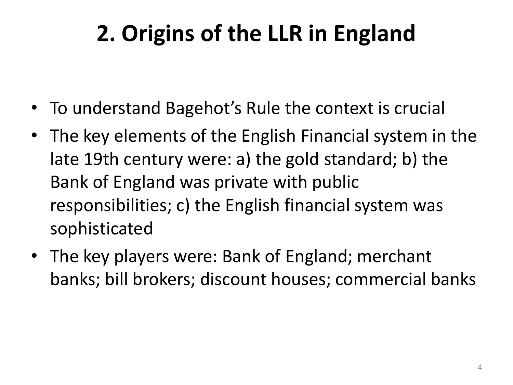- To understand Bagehot's Rule the context is crucial
- The key elements of the English Financial system in the late 19th century were: a) the gold standard; b) the Bank of England was private with public responsibilities; c) the English financial system was sophisticated
- The key players were: Bank of England; merchant banks; bill brokers; discount houses; commercial banks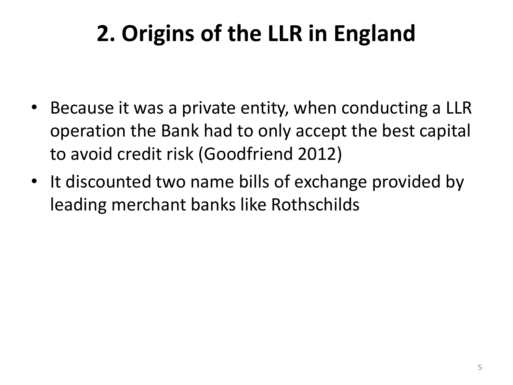- Because it was a private entity, when conducting a LLR operation the Bank had to only accept the best capital to avoid credit risk (Goodfriend 2012)
- It discounted two name bills of exchange provided by leading merchant banks like Rothschilds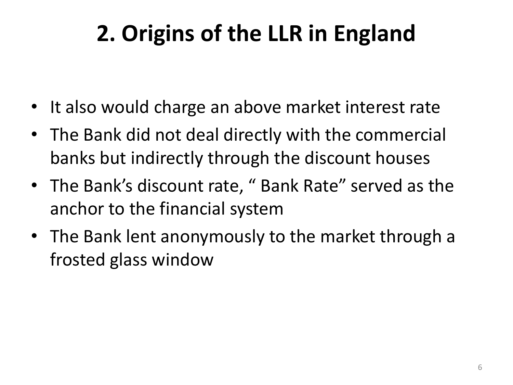- It also would charge an above market interest rate
- The Bank did not deal directly with the commercial banks but indirectly through the discount houses
- The Bank's discount rate, " Bank Rate" served as the anchor to the financial system
- The Bank lent anonymously to the market through a frosted glass window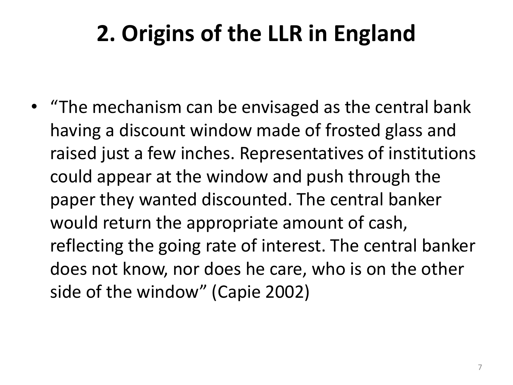• "The mechanism can be envisaged as the central bank having a discount window made of frosted glass and raised just a few inches. Representatives of institutions could appear at the window and push through the paper they wanted discounted. The central banker would return the appropriate amount of cash, reflecting the going rate of interest. The central banker does not know, nor does he care, who is on the other side of the window" (Capie 2002)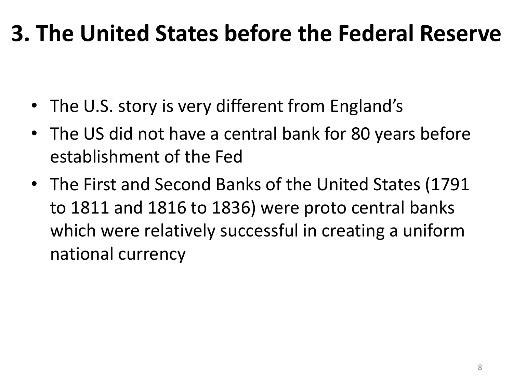- The U.S. story is very different from England's
- The US did not have a central bank for 80 years before establishment of the Fed
- The First and Second Banks of the United States (1791 to 1811 and 1816 to 1836) were proto central banks which were relatively successful in creating a uniform national currency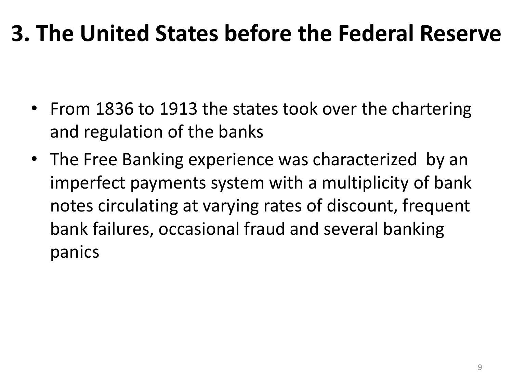- From 1836 to 1913 the states took over the chartering and regulation of the banks
- The Free Banking experience was characterized by an imperfect payments system with a multiplicity of bank notes circulating at varying rates of discount, frequent bank failures, occasional fraud and several banking panics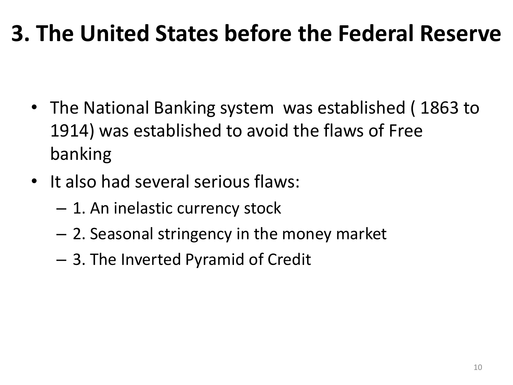- The National Banking system was established ( 1863 to 1914) was established to avoid the flaws of Free banking
- It also had several serious flaws:
	- 1. An inelastic currency stock
	- 2. Seasonal stringency in the money market
	- 3. The Inverted Pyramid of Credit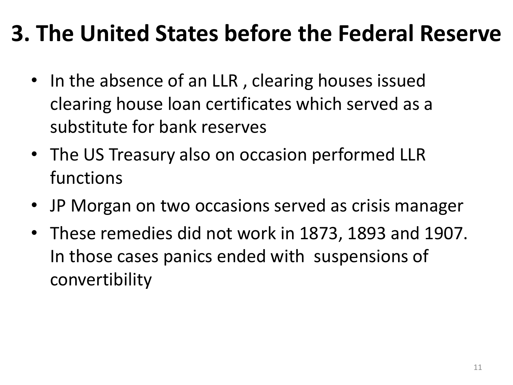- In the absence of an LLR, clearing houses issued clearing house loan certificates which served as a substitute for bank reserves
- The US Treasury also on occasion performed LLR functions
- JP Morgan on two occasions served as crisis manager
- These remedies did not work in 1873, 1893 and 1907. In those cases panics ended with suspensions of convertibility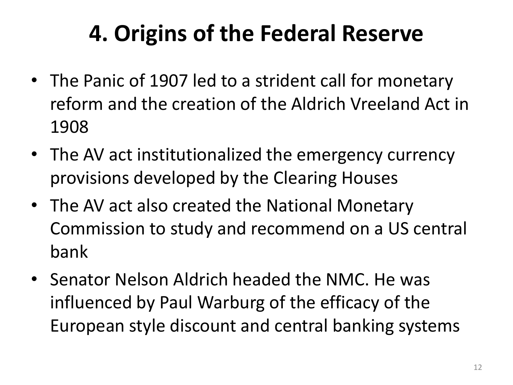- The Panic of 1907 led to a strident call for monetary reform and the creation of the Aldrich Vreeland Act in 1908
- The AV act institutionalized the emergency currency provisions developed by the Clearing Houses
- The AV act also created the National Monetary Commission to study and recommend on a US central bank
- Senator Nelson Aldrich headed the NMC. He was influenced by Paul Warburg of the efficacy of the European style discount and central banking systems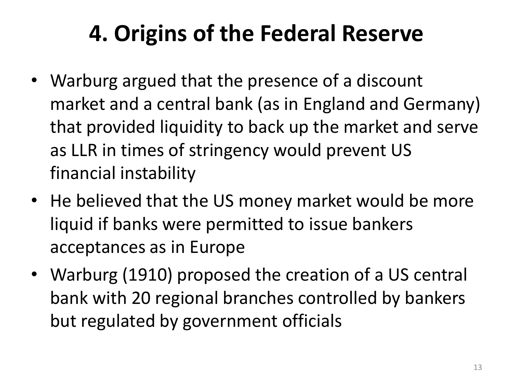- Warburg argued that the presence of a discount market and a central bank (as in England and Germany) that provided liquidity to back up the market and serve as LLR in times of stringency would prevent US financial instability
- He believed that the US money market would be more liquid if banks were permitted to issue bankers acceptances as in Europe
- Warburg (1910) proposed the creation of a US central bank with 20 regional branches controlled by bankers but regulated by government officials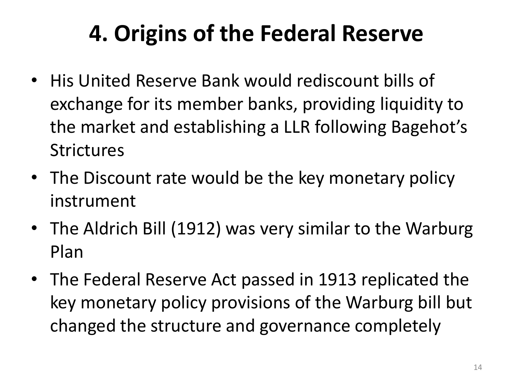- His United Reserve Bank would rediscount bills of exchange for its member banks, providing liquidity to the market and establishing a LLR following Bagehot's **Strictures**
- The Discount rate would be the key monetary policy instrument
- The Aldrich Bill (1912) was very similar to the Warburg Plan
- The Federal Reserve Act passed in 1913 replicated the key monetary policy provisions of the Warburg bill but changed the structure and governance completely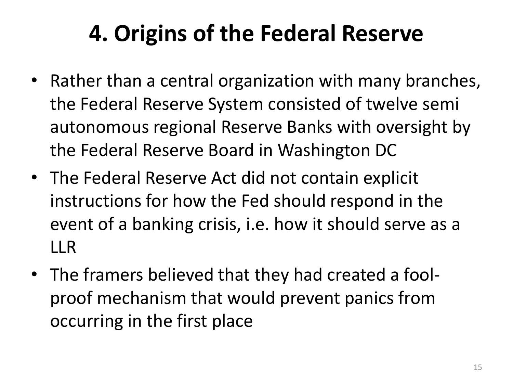- Rather than a central organization with many branches, the Federal Reserve System consisted of twelve semi autonomous regional Reserve Banks with oversight by the Federal Reserve Board in Washington DC
- The Federal Reserve Act did not contain explicit instructions for how the Fed should respond in the event of a banking crisis, i.e. how it should serve as a LLR
- The framers believed that they had created a foolproof mechanism that would prevent panics from occurring in the first place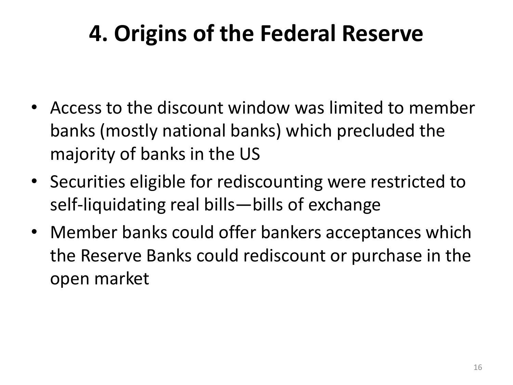- Access to the discount window was limited to member banks (mostly national banks) which precluded the majority of banks in the US
- Securities eligible for rediscounting were restricted to self-liquidating real bills—bills of exchange
- Member banks could offer bankers acceptances which the Reserve Banks could rediscount or purchase in the open market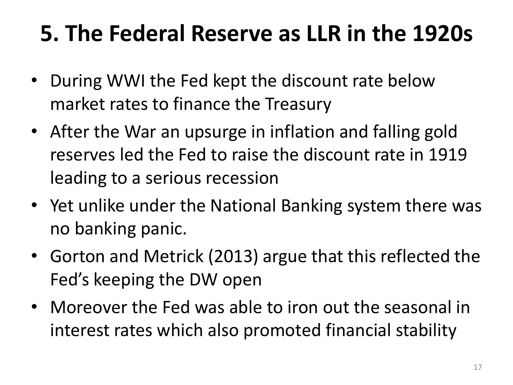### **5. The Federal Reserve as LLR in the 1920s**

- During WWI the Fed kept the discount rate below market rates to finance the Treasury
- After the War an upsurge in inflation and falling gold reserves led the Fed to raise the discount rate in 1919 leading to a serious recession
- Yet unlike under the National Banking system there was no banking panic.
- Gorton and Metrick (2013) argue that this reflected the Fed's keeping the DW open
- Moreover the Fed was able to iron out the seasonal in interest rates which also promoted financial stability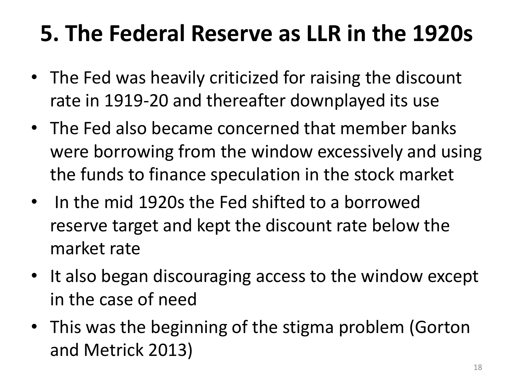### **5. The Federal Reserve as LLR in the 1920s**

- The Fed was heavily criticized for raising the discount rate in 1919-20 and thereafter downplayed its use
- The Fed also became concerned that member banks were borrowing from the window excessively and using the funds to finance speculation in the stock market
- In the mid 1920s the Fed shifted to a borrowed reserve target and kept the discount rate below the market rate
- It also began discouraging access to the window except in the case of need
- This was the beginning of the stigma problem (Gorton and Metrick 2013)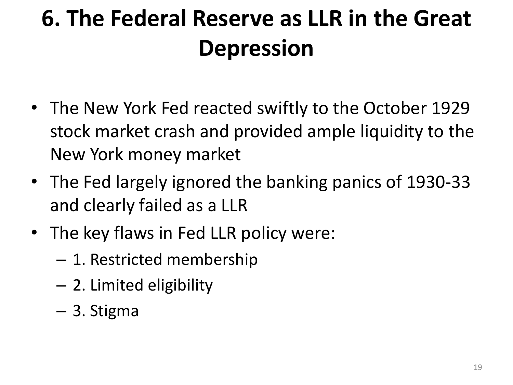# **6. The Federal Reserve as LLR in the Great Depression**

- The New York Fed reacted swiftly to the October 1929 stock market crash and provided ample liquidity to the New York money market
- The Fed largely ignored the banking panics of 1930-33 and clearly failed as a LLR
- The key flaws in Fed LLR policy were:
	- 1. Restricted membership
	- 2. Limited eligibility
	- 3. Stigma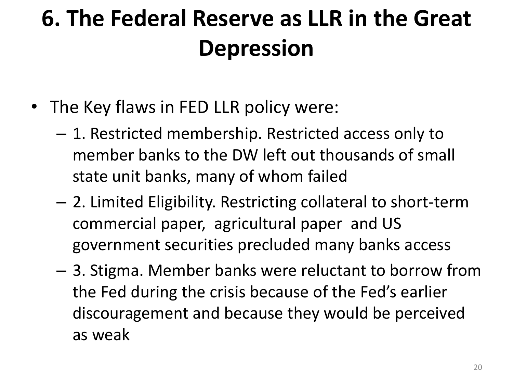### **6. The Federal Reserve as LLR in the Great Depression**

- The Key flaws in FED LLR policy were:
	- 1. Restricted membership. Restricted access only to member banks to the DW left out thousands of small state unit banks, many of whom failed
	- 2. Limited Eligibility. Restricting collateral to short-term commercial paper, agricultural paper and US government securities precluded many banks access
	- 3. Stigma. Member banks were reluctant to borrow from the Fed during the crisis because of the Fed's earlier discouragement and because they would be perceived as weak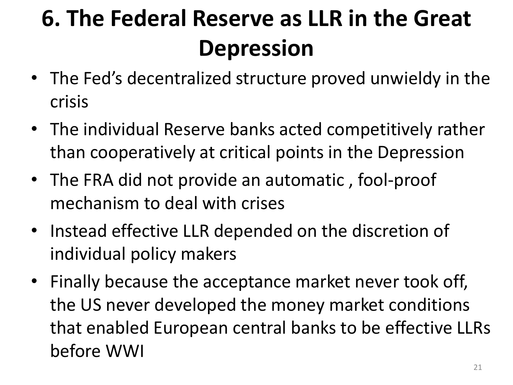# **6. The Federal Reserve as LLR in the Great Depression**

- The Fed's decentralized structure proved unwieldy in the crisis
- The individual Reserve banks acted competitively rather than cooperatively at critical points in the Depression
- The FRA did not provide an automatic , fool-proof mechanism to deal with crises
- Instead effective LLR depended on the discretion of individual policy makers
- Finally because the acceptance market never took off, the US never developed the money market conditions that enabled European central banks to be effective LLRs before WWI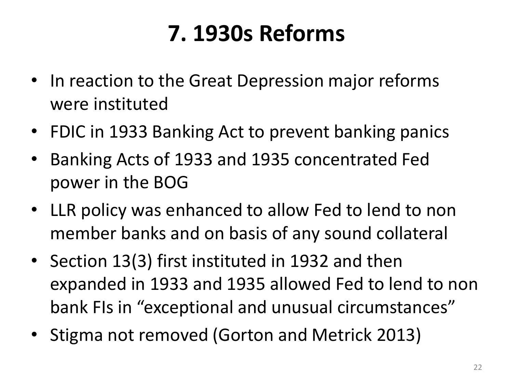### **7. 1930s Reforms**

- In reaction to the Great Depression major reforms were instituted
- FDIC in 1933 Banking Act to prevent banking panics
- Banking Acts of 1933 and 1935 concentrated Fed power in the BOG
- LLR policy was enhanced to allow Fed to lend to non member banks and on basis of any sound collateral
- Section 13(3) first instituted in 1932 and then expanded in 1933 and 1935 allowed Fed to lend to non bank FIs in "exceptional and unusual circumstances"
- Stigma not removed (Gorton and Metrick 2013)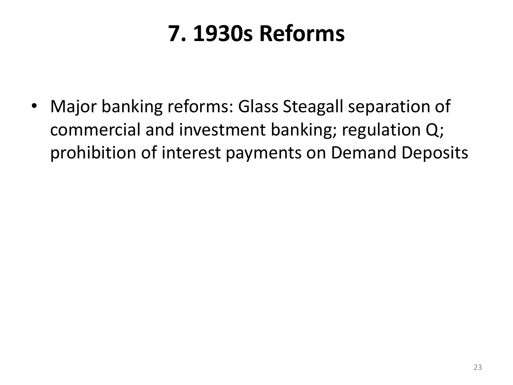### **7. 1930s Reforms**

• Major banking reforms: Glass Steagall separation of commercial and investment banking; regulation Q; prohibition of interest payments on Demand Deposits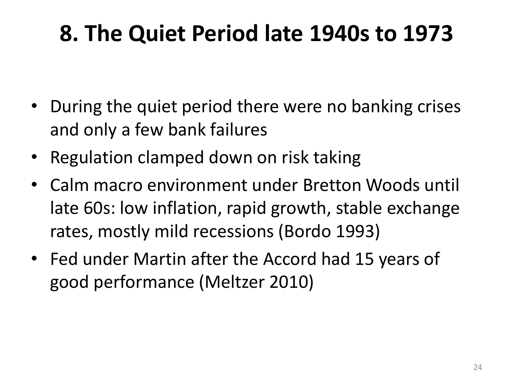#### **8. The Quiet Period late 1940s to 1973**

- During the quiet period there were no banking crises and only a few bank failures
- Regulation clamped down on risk taking
- Calm macro environment under Bretton Woods until late 60s: low inflation, rapid growth, stable exchange rates, mostly mild recessions (Bordo 1993)
- Fed under Martin after the Accord had 15 years of good performance (Meltzer 2010)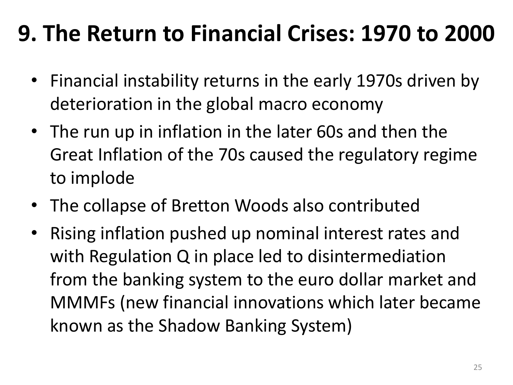- Financial instability returns in the early 1970s driven by deterioration in the global macro economy
- The run up in inflation in the later 60s and then the Great Inflation of the 70s caused the regulatory regime to implode
- The collapse of Bretton Woods also contributed
- Rising inflation pushed up nominal interest rates and with Regulation Q in place led to disintermediation from the banking system to the euro dollar market and MMMFs (new financial innovations which later became known as the Shadow Banking System)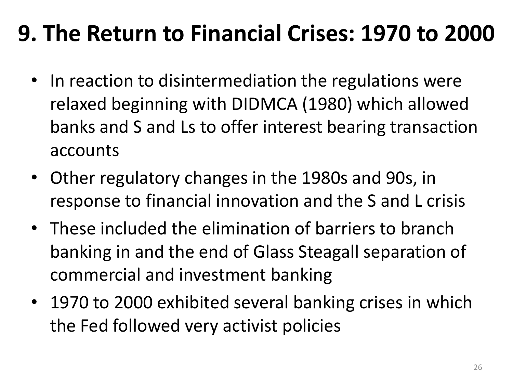- In reaction to disintermediation the regulations were relaxed beginning with DIDMCA (1980) which allowed banks and S and Ls to offer interest bearing transaction accounts
- Other regulatory changes in the 1980s and 90s, in response to financial innovation and the S and L crisis
- These included the elimination of barriers to branch banking in and the end of Glass Steagall separation of commercial and investment banking
- 1970 to 2000 exhibited several banking crises in which the Fed followed very activist policies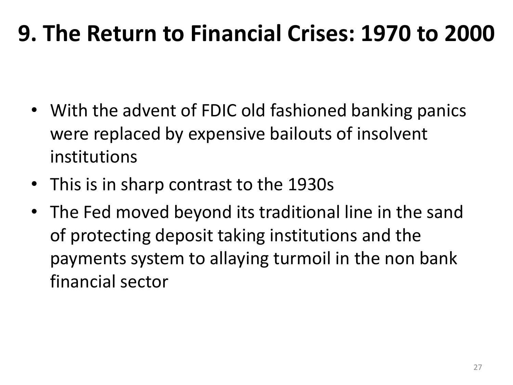- With the advent of FDIC old fashioned banking panics were replaced by expensive bailouts of insolvent institutions
- This is in sharp contrast to the 1930s
- The Fed moved beyond its traditional line in the sand of protecting deposit taking institutions and the payments system to allaying turmoil in the non bank financial sector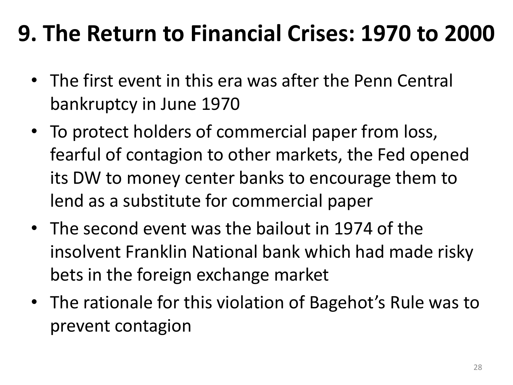- The first event in this era was after the Penn Central bankruptcy in June 1970
- To protect holders of commercial paper from loss, fearful of contagion to other markets, the Fed opened its DW to money center banks to encourage them to lend as a substitute for commercial paper
- The second event was the bailout in 1974 of the insolvent Franklin National bank which had made risky bets in the foreign exchange market
- The rationale for this violation of Bagehot's Rule was to prevent contagion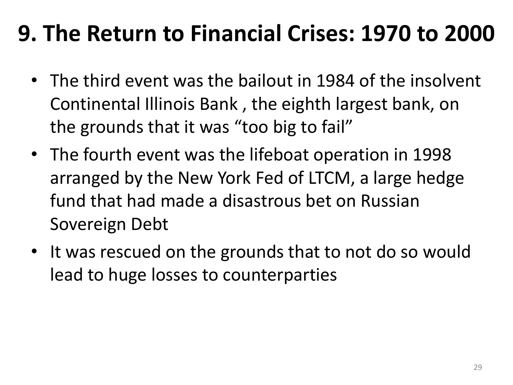- The third event was the bailout in 1984 of the insolvent Continental Illinois Bank , the eighth largest bank, on the grounds that it was "too big to fail"
- The fourth event was the lifeboat operation in 1998 arranged by the New York Fed of LTCM, a large hedge fund that had made a disastrous bet on Russian Sovereign Debt
- It was rescued on the grounds that to not do so would lead to huge losses to counterparties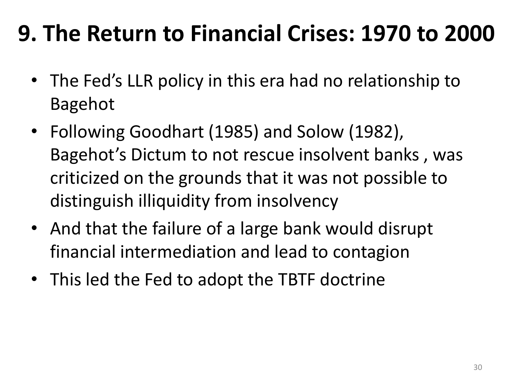- The Fed's LLR policy in this era had no relationship to Bagehot
- Following Goodhart (1985) and Solow (1982), Bagehot's Dictum to not rescue insolvent banks , was criticized on the grounds that it was not possible to distinguish illiquidity from insolvency
- And that the failure of a large bank would disrupt financial intermediation and lead to contagion
- This led the Fed to adopt the TBTF doctrine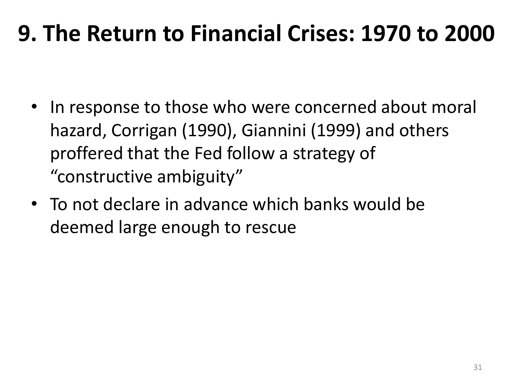- In response to those who were concerned about moral hazard, Corrigan (1990), Giannini (1999) and others proffered that the Fed follow a strategy of "constructive ambiguity"
- To not declare in advance which banks would be deemed large enough to rescue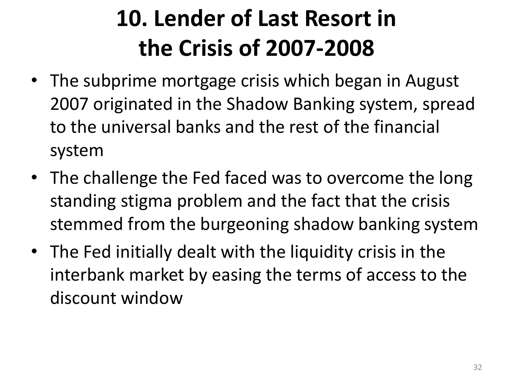- The subprime mortgage crisis which began in August 2007 originated in the Shadow Banking system, spread to the universal banks and the rest of the financial system
- The challenge the Fed faced was to overcome the long standing stigma problem and the fact that the crisis stemmed from the burgeoning shadow banking system
- The Fed initially dealt with the liquidity crisis in the interbank market by easing the terms of access to the discount window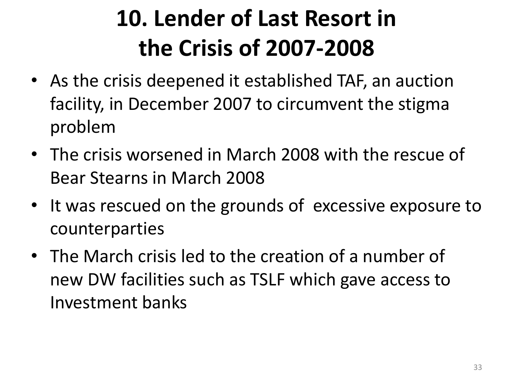- As the crisis deepened it established TAF, an auction facility, in December 2007 to circumvent the stigma problem
- The crisis worsened in March 2008 with the rescue of Bear Stearns in March 2008
- It was rescued on the grounds of excessive exposure to counterparties
- The March crisis led to the creation of a number of new DW facilities such as TSLF which gave access to Investment banks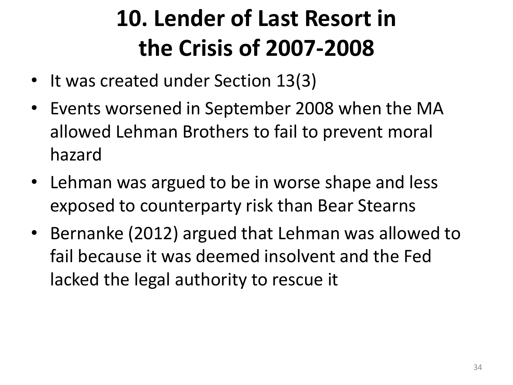- It was created under Section 13(3)
- Events worsened in September 2008 when the MA allowed Lehman Brothers to fail to prevent moral hazard
- Lehman was argued to be in worse shape and less exposed to counterparty risk than Bear Stearns
- Bernanke (2012) argued that Lehman was allowed to fail because it was deemed insolvent and the Fed lacked the legal authority to rescue it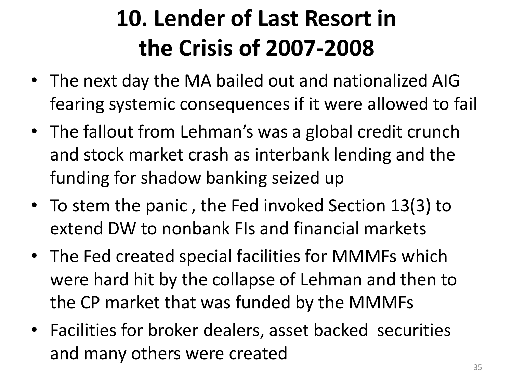- The next day the MA bailed out and nationalized AIG fearing systemic consequences if it were allowed to fail
- The fallout from Lehman's was a global credit crunch and stock market crash as interbank lending and the funding for shadow banking seized up
- To stem the panic , the Fed invoked Section 13(3) to extend DW to nonbank FIs and financial markets
- The Fed created special facilities for MMMFs which were hard hit by the collapse of Lehman and then to the CP market that was funded by the MMMFs
- Facilities for broker dealers, asset backed securities and many others were created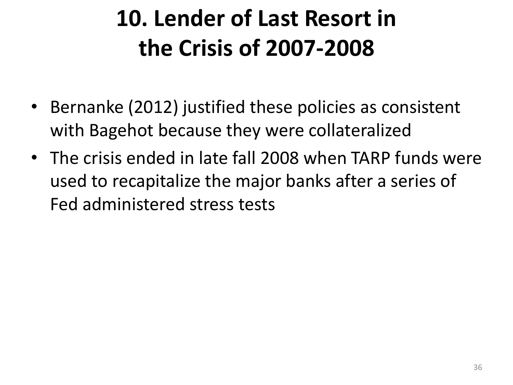- Bernanke (2012) justified these policies as consistent with Bagehot because they were collateralized
- The crisis ended in late fall 2008 when TARP funds were used to recapitalize the major banks after a series of Fed administered stress tests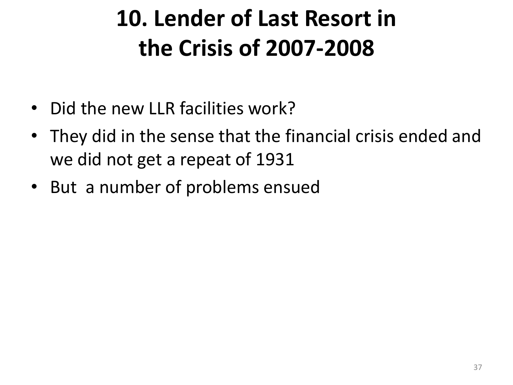- Did the new LLR facilities work?
- They did in the sense that the financial crisis ended and we did not get a repeat of 1931
- But a number of problems ensued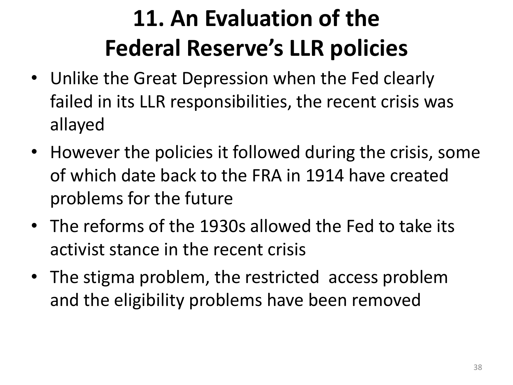- Unlike the Great Depression when the Fed clearly failed in its LLR responsibilities, the recent crisis was allayed
- However the policies it followed during the crisis, some of which date back to the FRA in 1914 have created problems for the future
- The reforms of the 1930s allowed the Fed to take its activist stance in the recent crisis
- The stigma problem, the restricted access problem and the eligibility problems have been removed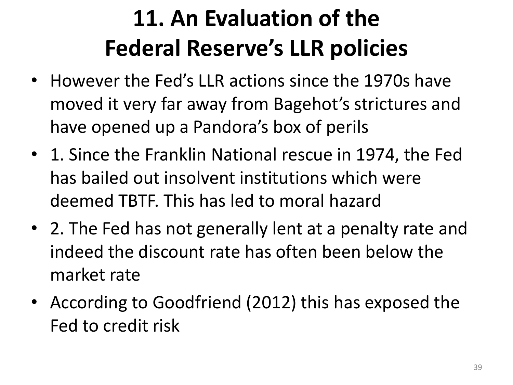- However the Fed's LLR actions since the 1970s have moved it very far away from Bagehot's strictures and have opened up a Pandora's box of perils
- 1. Since the Franklin National rescue in 1974, the Fed has bailed out insolvent institutions which were deemed TBTF. This has led to moral hazard
- 2. The Fed has not generally lent at a penalty rate and indeed the discount rate has often been below the market rate
- According to Goodfriend (2012) this has exposed the Fed to credit risk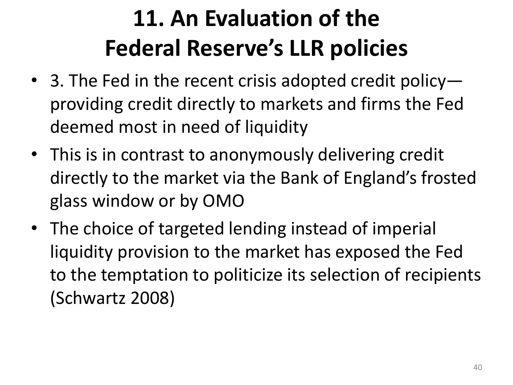- 3. The Fed in the recent crisis adopted credit policy providing credit directly to markets and firms the Fed deemed most in need of liquidity
- This is in contrast to anonymously delivering credit directly to the market via the Bank of England's frosted glass window or by OMO
- The choice of targeted lending instead of imperial liquidity provision to the market has exposed the Fed to the temptation to politicize its selection of recipients (Schwartz 2008)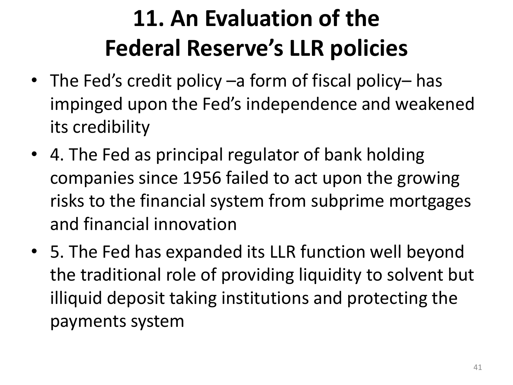- The Fed's credit policy –a form of fiscal policy– has impinged upon the Fed's independence and weakened its credibility
- 4. The Fed as principal regulator of bank holding companies since 1956 failed to act upon the growing risks to the financial system from subprime mortgages and financial innovation
- 5. The Fed has expanded its LLR function well beyond the traditional role of providing liquidity to solvent but illiquid deposit taking institutions and protecting the payments system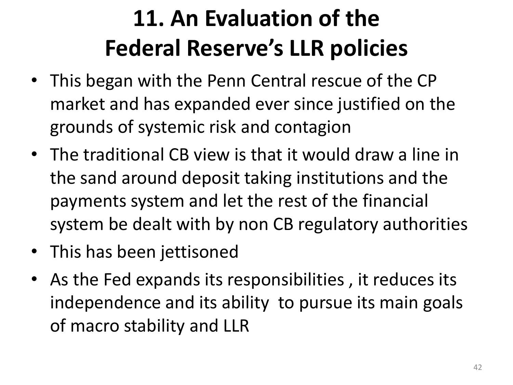- This began with the Penn Central rescue of the CP market and has expanded ever since justified on the grounds of systemic risk and contagion
- The traditional CB view is that it would draw a line in the sand around deposit taking institutions and the payments system and let the rest of the financial system be dealt with by non CB regulatory authorities
- This has been jettisoned
- As the Fed expands its responsibilities, it reduces its independence and its ability to pursue its main goals of macro stability and LLR